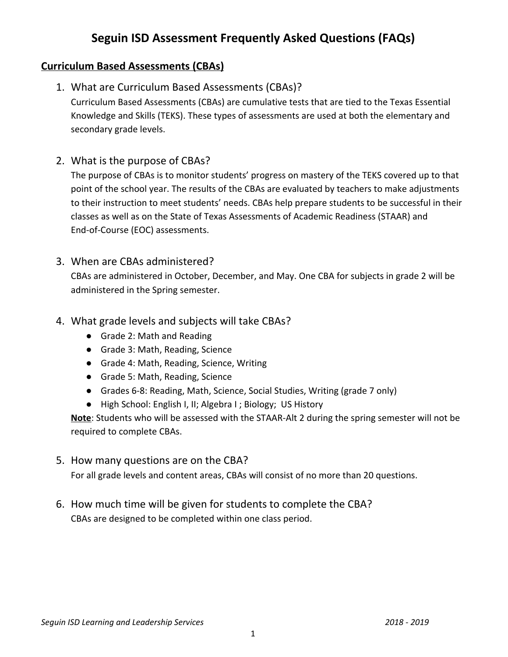## **Seguin ISD Assessment Frequently Asked Questions (FAQs)**

## **Curriculum Based Assessments (CBAs)**

1. What are Curriculum Based Assessments (CBAs)?

Curriculum Based Assessments (CBAs) are cumulative tests that are tied to the Texas Essential Knowledge and Skills (TEKS). These types of assessments are used at both the elementary and secondary grade levels.

2. What is the purpose of CBAs?

The purpose of CBAs is to monitor students' progress on mastery of the TEKS covered up to that point of the school year. The results of the CBAs are evaluated by teachers to make adjustments to their instruction to meet students' needs. CBAs help prepare students to be successful in their classes as well as on the State of Texas Assessments of Academic Readiness (STAAR) and End-of-Course (EOC) assessments.

3. When are CBAs administered?

CBAs are administered in October, December, and May. One CBA for subjects in grade 2 will be administered in the Spring semester.

- 4. What grade levels and subjects will take CBAs?
	- Grade 2: Math and Reading
	- Grade 3: Math, Reading, Science
	- Grade 4: Math, Reading, Science, Writing
	- Grade 5: Math, Reading, Science
	- Grades 6-8: Reading, Math, Science, Social Studies, Writing (grade 7 only)
	- High School: English I, II; Algebra I; Biology; US History

**Note**: Students who will be assessed with the STAAR-Alt 2 during the spring semester will not be required to complete CBAs.

5. How many questions are on the CBA?

For all grade levels and content areas, CBAs will consist of no more than 20 questions.

6. How much time will be given for students to complete the CBA? CBAs are designed to be completed within one class period.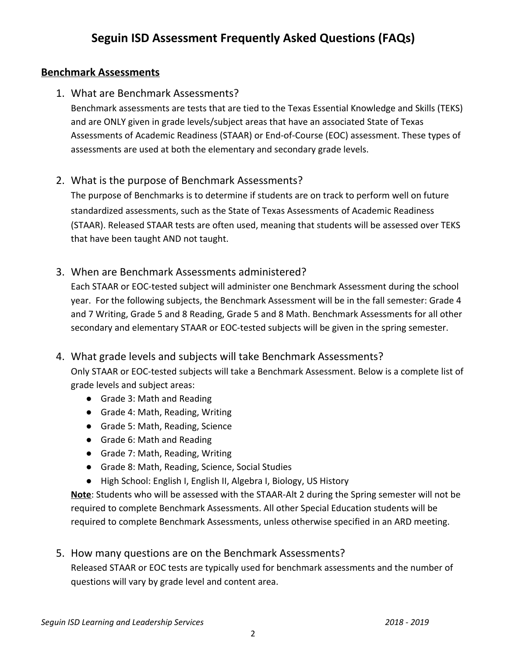### **Benchmark Assessments**

1. What are Benchmark Assessments?

Benchmark assessments are tests that are tied to the Texas Essential Knowledge and Skills (TEKS) and are ONLY given in grade levels/subject areas that have an associated State of Texas Assessments of Academic Readiness (STAAR) or End-of-Course (EOC) assessment. These types of assessments are used at both the elementary and secondary grade levels.

## 2. What is the purpose of Benchmark Assessments?

The purpose of Benchmarks is to determine if students are on track to perform well on future standardized assessments, such as the State of Texas Assessments of Academic Readiness (STAAR). Released STAAR tests are often used, meaning that students will be assessed over TEKS that have been taught AND not taught.

3. When are Benchmark Assessments administered?

Each STAAR or EOC-tested subject will administer one Benchmark Assessment during the school year. For the following subjects, the Benchmark Assessment will be in the fall semester: Grade 4 and 7 Writing, Grade 5 and 8 Reading, Grade 5 and 8 Math. Benchmark Assessments for all other secondary and elementary STAAR or EOC-tested subjects will be given in the spring semester.

- 4. What grade levels and subjects will take Benchmark Assessments? Only STAAR or EOC-tested subjects will take a Benchmark Assessment. Below is a complete list of grade levels and subject areas:
	- Grade 3: Math and Reading
	- Grade 4: Math, Reading, Writing
	- Grade 5: Math, Reading, Science
	- Grade 6: Math and Reading
	- Grade 7: Math, Reading, Writing
	- Grade 8: Math, Reading, Science, Social Studies
	- High School: English I, English II, Algebra I, Biology, US History

**Note**: Students who will be assessed with the STAAR-Alt 2 during the Spring semester will not be required to complete Benchmark Assessments. All other Special Education students will be required to complete Benchmark Assessments, unless otherwise specified in an ARD meeting.

5. How many questions are on the Benchmark Assessments?

Released STAAR or EOC tests are typically used for benchmark assessments and the number of questions will vary by grade level and content area.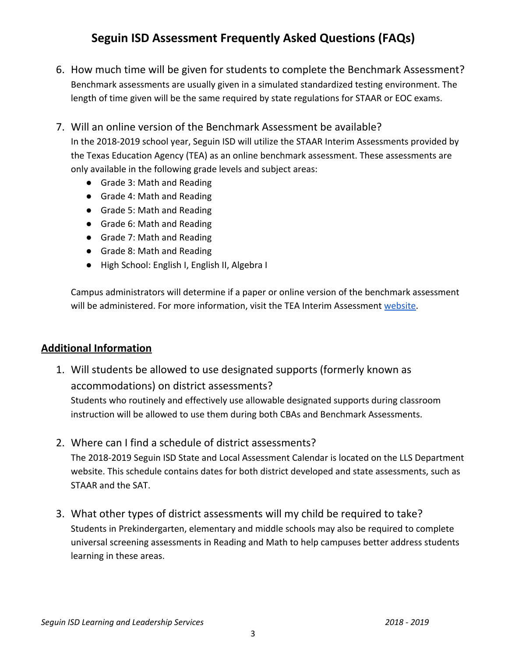# **Seguin ISD Assessment Frequently Asked Questions (FAQs)**

6. How much time will be given for students to complete the Benchmark Assessment? Benchmark assessments are usually given in a simulated standardized testing environment. The length of time given will be the same required by state regulations for STAAR or EOC exams.

### 7. Will an online version of the Benchmark Assessment be available?

In the 2018-2019 school year, Seguin ISD will utilize the STAAR Interim Assessments provided by the Texas Education Agency (TEA) as an online benchmark assessment. These assessments are only available in the following grade levels and subject areas:

- Grade 3: Math and Reading
- Grade 4: Math and Reading
- Grade 5: Math and Reading
- Grade 6: Math and Reading
- Grade 7: Math and Reading
- Grade 8: Math and Reading
- High School: English I, English II, Algebra I

Campus administrators will determine if a paper or online version of the benchmark assessment will be administered. For more information, visit the TEA Interim Assessment [website.](https://tea.texas.gov/student.assessment/IA/)

#### **Additional Information**

- 1. Will students be allowed to use designated supports (formerly known as accommodations) on district assessments? Students who routinely and effectively use allowable designated supports during classroom instruction will be allowed to use them during both CBAs and Benchmark Assessments.
- 2. Where can I find a schedule of district assessments? The 2018-2019 Seguin ISD State and Local Assessment Calendar is located on the LLS Department website. This schedule contains dates for both district developed and state assessments, such as STAAR and the SAT.
- 3. What other types of district assessments will my child be required to take? Students in Prekindergarten, elementary and middle schools may also be required to complete universal screening assessments in Reading and Math to help campuses better address students learning in these areas.